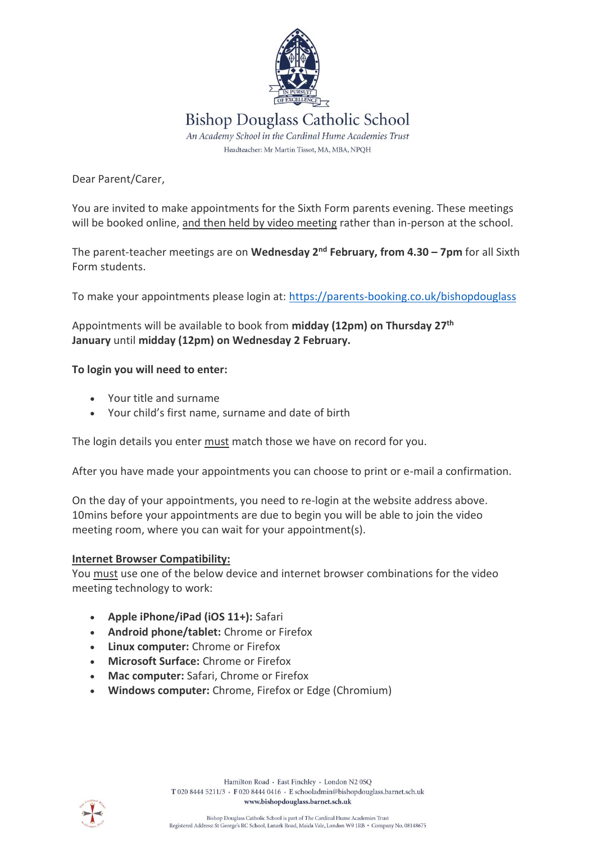

Dear Parent/Carer,

You are invited to make appointments for the Sixth Form parents evening. These meetings will be booked online, and then held by video meeting rather than in-person at the school.

The parent-teacher meetings are on **Wednesday 2 nd February, from 4.30 – 7pm** for all Sixth Form students.

To make your appointments please login at: <https://parents-booking.co.uk/bishopdouglass>

Appointments will be available to book from **midday (12pm) on Thursday 27 th January** until **midday (12pm) on Wednesday 2 February.**

## **To login you will need to enter:**

- Your title and surname
- Your child's first name, surname and date of birth

The login details you enter must match those we have on record for you.

After you have made your appointments you can choose to print or e-mail a confirmation.

On the day of your appointments, you need to re-login at the website address above. 10mins before your appointments are due to begin you will be able to join the video meeting room, where you can wait for your appointment(s).

## **Internet Browser Compatibility:**

You must use one of the below device and internet browser combinations for the video meeting technology to work:

- **Apple iPhone/iPad (iOS 11+):** Safari
- **Android phone/tablet:** Chrome or Firefox
- **Linux computer:** Chrome or Firefox
- **Microsoft Surface:** Chrome or Firefox
- **Mac computer:** Safari, Chrome or Firefox
- **Windows computer:** Chrome, Firefox or Edge (Chromium)